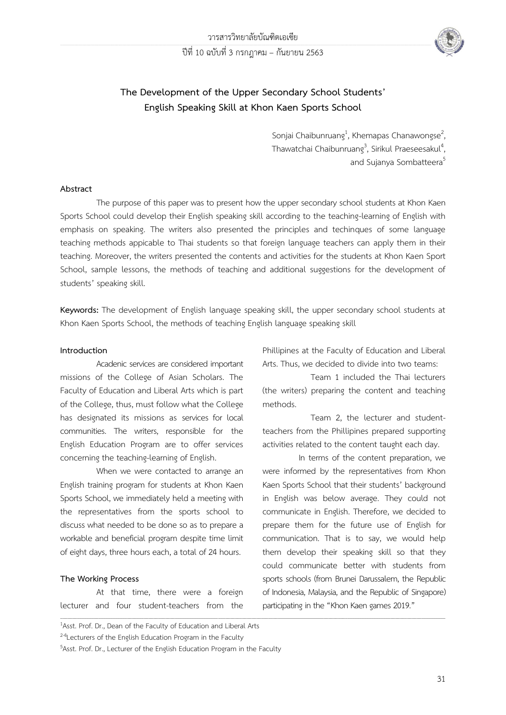

# **The Development of the Upper Secondary School Students' English Speaking Skill at Khon Kaen Sports School**

Sonjai Chaibunruang<sup>1</sup>, Khemapas Chanawongse<sup>2</sup> .<br>;<br>; Thawatchai Chaibunruang<sup>3</sup>, Sirikul Praeseesakul<sup>4</sup> , and Sujanya Sombatteera<sup>5</sup>

## **Abstract**

The purpose of this paper was to present how the upper secondary school students at Khon Kaen Sports School could develop their English speaking skill according to the teaching-learning of English with emphasis on speaking. The writers also presented the principles and techinques of some language teaching methods appicable to Thai students so that foreign language teachers can apply them in their teaching. Moreover, the writers presented the contents and activities for the students at Khon Kaen Sport School, sample lessons, the methods of teaching and additional suggestions for the development of students' speaking skill.

**Keywords:** The development of English language speaking skill, the upper secondary school students at Khon Kaen Sports School, the methods of teaching English language speaking skill

\_\_\_\_\_\_\_\_\_\_\_\_\_\_\_\_\_\_\_\_\_\_\_\_\_\_\_\_\_\_\_\_\_\_\_\_\_\_\_\_\_\_\_\_\_\_\_\_\_\_\_\_\_\_\_\_\_\_\_\_\_\_\_\_\_\_\_\_\_\_\_\_\_\_\_\_\_\_\_\_\_\_\_\_\_\_\_\_\_\_\_\_\_\_\_\_\_\_\_\_\_\_\_\_\_\_\_\_\_\_\_\_\_\_\_\_\_\_\_\_\_\_\_\_\_\_\_\_\_\_\_\_\_\_\_\_\_\_\_\_\_\_\_\_\_\_\_\_\_\_\_\_\_\_\_\_\_\_\_\_\_

#### **Introduction**

Acadenic services are considered important missions of the College of Asian Scholars. The Faculty of Education and Liberal Arts which is part of the College, thus, must follow what the College has designated its missions as services for local communities. The writers, responsible for the English Education Program are to offer services concerning the teaching-learning of English.

When we were contacted to arrange an English training program for students at Khon Kaen Sports School, we immediately held a meeting with the representatives from the sports school to discuss what needed to be done so as to prepare a workable and beneficial program despite time limit of eight days, three hours each, a total of 24 hours.

## **The Working Process**

At that time, there were a foreign lecturer and four student-teachers from the Phillipines at the Faculty of Education and Liberal Arts. Thus, we decided to divide into two teams:

Team 1 included the Thai lecturers (the writers) preparing the content and teaching methods.

Team 2, the lecturer and studentteachers from the Phillipines prepared supporting activities related to the content taught each day.

In terms of the content preparation, we were informed by the representatives from Khon Kaen Sports School that their students' background in English was below average. They could not communicate in English. Therefore, we decided to prepare them for the future use of English for communication. That is to say, we would help them develop their speaking skill so that they could communicate better with students from sports schools (from Brunei Darussalem, the Republic of Indonesia, Malaysia, and the Republic of Singapore) participating in the "Khon Kaen games 2019."

<sup>&</sup>lt;sup>1</sup>Asst. Prof. Dr., Dean of the Faculty of Education and Liberal Arts <sup>2-4</sup>Lecturers of the English Education Program in the Faculty

<sup>&</sup>lt;sup>5</sup>Asst. Prof. Dr., Lecturer of the English Education Program in the Faculty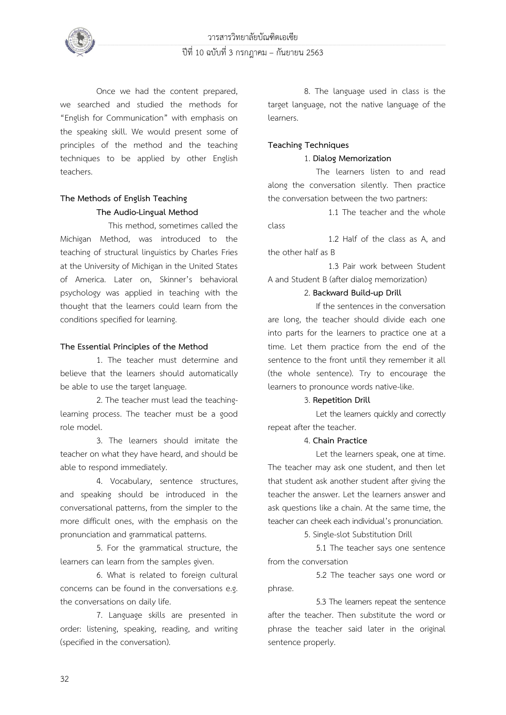

Once we had the content prepared, we searched and studied the methods for "English for Communication" with emphasis on the speaking skill. We would present some of principles of the method and the teaching techniques to be applied by other English teachers.

# **The Methods of English Teaching The Audio-Lingual Method**

This method, sometimes called the Michigan Method, was introduced to the teaching of structural linguistics by Charles Fries at the University of Michigan in the United States of America. Later on, Skinner's behavioral psychology was applied in teaching with the thought that the learners could learn from the conditions specified for learning.

# **The Essential Principles of the Method**

 1. The teacher must determine and believe that the learners should automatically be able to use the target language.

 2. The teacher must lead the teachinglearning process. The teacher must be a good role model.

 3. The learners should imitate the teacher on what they have heard, and should be able to respond immediately.

 4. Vocabulary, sentence structures, and speaking should be introduced in the conversational patterns, from the simpler to the more difficult ones, with the emphasis on the pronunciation and grammatical patterns.

 5. For the grammatical structure, the learners can learn from the samples given.

 6. What is related to foreign cultural concerns can be found in the conversations e.g. the conversations on daily life.

 7. Language skills are presented in order: listening, speaking, reading, and writing (specified in the conversation).

 8. The language used in class is the target language, not the native language of the learners.

# **Teaching Techniques**

# 1. **Dialog Memorization**

The learners listen to and read along the conversation silently. Then practice the conversation between the two partners:

1.1 The teacher and the whole class

1.2 Half of the class as A, and the other half as B

1.3 Pair work between Student A and Student B (after dialog memorization)

## 2. **Backward Build-up Drill**

If the sentences in the conversation are long, the teacher should divide each one into parts for the learners to practice one at a time. Let them practice from the end of the sentence to the front until they remember it all (the whole sentence). Try to encourage the learners to pronounce words native-like.

## 3. **Repetition Drill**

Let the learners quickly and correctly repeat after the teacher.

# 4. **Chain Practice**

Let the learners speak, one at time. The teacher may ask one student, and then let that student ask another student after giving the teacher the answer. Let the learners answer and ask questions like a chain. At the same time, the teacher can cheek each individual's pronunciation.

5. Single-slot Substitution Drill

5.1 The teacher says one sentence from the conversation

 5.2 The teacher says one word or phrase.

 5.3 The learners repeat the sentence after the teacher. Then substitute the word or phrase the teacher said later in the original sentence properly.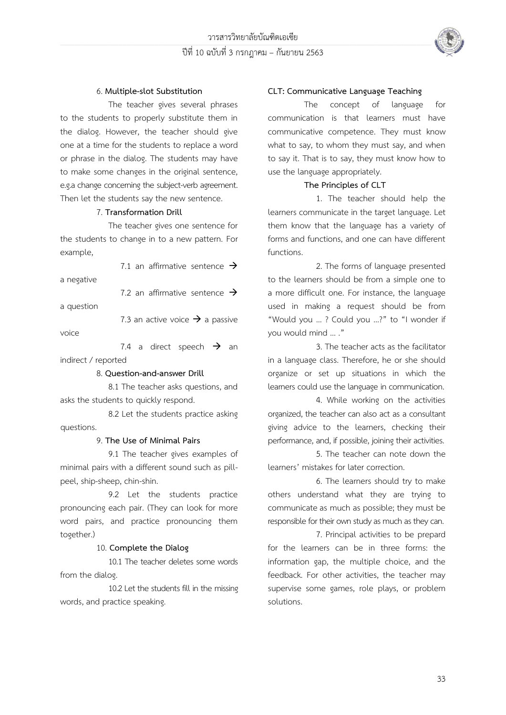

### 6. **Multiple-slot Substitution**

The teacher gives several phrases to the students to properly substitute them in the dialog. However, the teacher should give one at a time for the students to replace a word or phrase in the dialog. The students may have to make some changes in the original sentence, e.g.a change concerning the subject-verb agreement. Then let the students say the new sentence.

#### 7. **Transformation Drill**

 The teacher gives one sentence for the students to change in to a new pattern. For example,

7.1 an affirmative sentence  $\rightarrow$ 

a negative

7.2 an affirmative sentence  $\rightarrow$ 

a question

7.3 an active voice  $\rightarrow$  a passive

voice

7.4 a direct speech  $\rightarrow$  an indirect / reported

8. **Question-and-answer Drill**

8.1 The teacher asks questions, and asks the students to quickly respond.

 8.2 Let the students practice asking questions.

#### 9. **The Use of Minimal Pairs**

 9.1 The teacher gives examples of minimal pairs with a different sound such as pillpeel, ship-sheep, chin-shin.

 9.2 Let the students practice pronouncing each pair. (They can look for more word pairs, and practice pronouncing them together.)

#### 10. **Complete the Dialog**

10.1 The teacher deletes some words from the dialog.

 10.2Let the students fill in the missing words, and practice speaking.

#### **CLT: Communicative Language Teaching**

The concept of language for communication is that learners must have communicative competence. They must know what to say, to whom they must say, and when to say it. That is to say, they must know how to use the language appropriately.

#### **The Principles of CLT**

1. The teacher should help the learners communicate in the target language. Let them know that the language has a variety of forms and functions, and one can have different functions.

2. The forms of language presented to the learners should be from a simple one to a more difficult one. For instance, the language used in making a request should be from "Would you … ? Could you …?" to "I wonder if you would mind … ."

3. The teacher acts as the facilitator in a language class. Therefore, he or she should organize or set up situations in which the learners could use the language in communication.

4. While working on the activities organized, the teacher can also act as a consultant giving advice to the learners, checking their performance, and, if possible, joining their activities.

5. The teacher can note down the learners' mistakes for later correction.

6. The learners should try to make others understand what they are trying to communicate as much as possible; they must be responsible for their own study as much as they can.

7. Principal activities to be prepard for the learners can be in three forms: the information gap, the multiple choice, and the feedback. For other activities, the teacher may supervise some games, role plays, or problem solutions.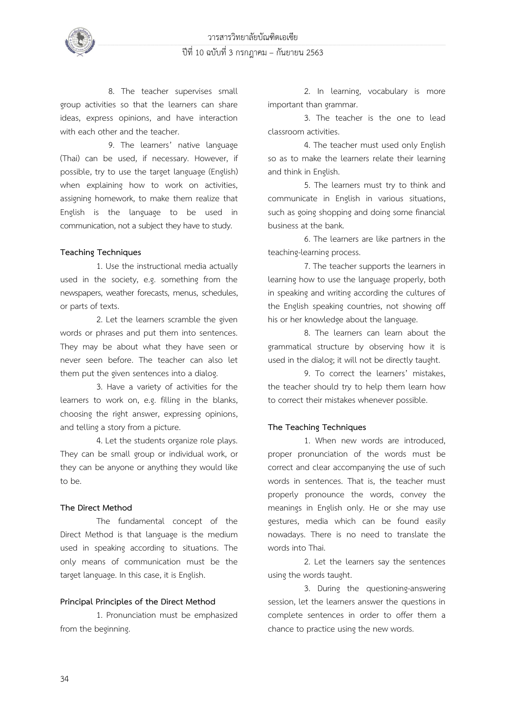

8. The teacher supervises small group activities so that the learners can share ideas, express opinions, and have interaction with each other and the teacher.

9. The learners' native language (Thai) can be used, if necessary. However, if possible, try to use the target language (English) when explaining how to work on activities, assigning homework, to make them realize that English is the language to be used in communication, not a subject they have to study.

#### **Teaching Techniques**

1. Use the instructional media actually used in the society, e.g. something from the newspapers, weather forecasts, menus, schedules, or parts of texts.

2. Let the learners scramble the given words or phrases and put them into sentences. They may be about what they have seen or never seen before. The teacher can also let them put the given sentences into a dialog.

3. Have a variety of activities for the learners to work on, e.g. filling in the blanks, choosing the right answer, expressing opinions, and telling a story from a picture.

4. Let the students organize role plays. They can be small group or individual work, or they can be anyone or anything they would like to be.

## **The Direct Method**

The fundamental concept of the Direct Method is that language is the medium used in speaking according to situations. The only means of communication must be the target language. In this case, it is English.

#### **Principal Principles of the Direct Method**

1. Pronunciation must be emphasized from the beginning.

2. In learning, vocabulary is more important than grammar.

3. The teacher is the one to lead classroom activities.

4. The teacher must used only English so as to make the learners relate their learning and think in English.

5. The learners must try to think and communicate in English in various situations, such as going shopping and doing some financial business at the bank.

6. The learners are like partners in the teaching-learning process.

7. The teacher supports the learners in learning how to use the language properly, both in speaking and writing according the cultures of the English speaking countries, not showing off his or her knowledge about the language.

8. The learners can learn about the grammatical structure by observing how it is used in the dialog; it will not be directly taught.

9. To correct the learners' mistakes, the teacher should try to help them learn how to correct their mistakes whenever possible.

#### **The Teaching Techniques**

1. When new words are introduced, proper pronunciation of the words must be correct and clear accompanying the use of such words in sentences. That is, the teacher must properly pronounce the words, convey the meanings in English only. He or she may use gestures, media which can be found easily nowadays. There is no need to translate the words into Thai.

2. Let the learners say the sentences using the words taught.

3. During the questioning-answering session, let the learners answer the questions in complete sentences in order to offer them a chance to practice using the new words.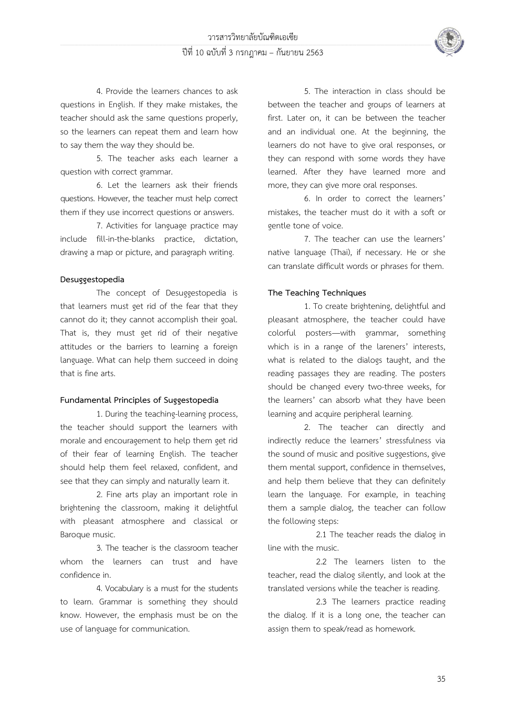

4. Provide the learners chances to ask questions in English. If they make mistakes, the teacher should ask the same questions properly, so the learners can repeat them and learn how to say them the way they should be.

5. The teacher asks each learner a question with correct grammar.

6. Let the learners ask their friends questions. However, the teacher must help correct them if they use incorrect questions or answers.

7. Activities for language practice may include fill-in-the-blanks practice, dictation, drawing a map or picture, and paragraph writing.

## **Desuggestopedia**

The concept of Desuggestopedia is that learners must get rid of the fear that they cannot do it; they cannot accomplish their goal. That is, they must get rid of their negative attitudes or the barriers to learning a foreign language. What can help them succeed in doing that is fine arts.

## **Fundamental Principles of Suggestopedia**

1. During the teaching-learning process, the teacher should support the learners with morale and encouragement to help them get rid of their fear of learning English. The teacher should help them feel relaxed, confident, and see that they can simply and naturally learn it.

2. Fine arts play an important role in brightening the classroom, making it delightful with pleasant atmosphere and classical or Baroque music.

3. The teacher is the classroom teacher whom the learners can trust and have confidence in.

4. Vocabulary is a must for the students to learn. Grammar is something they should know. However, the emphasis must be on the use of language for communication.

5. The interaction in class should be between the teacher and groups of learners at first. Later on, it can be between the teacher and an individual one. At the beginning, the learners do not have to give oral responses, or they can respond with some words they have learned. After they have learned more and more, they can give more oral responses.

6. In order to correct the learners' mistakes, the teacher must do it with a soft or gentle tone of voice.

7. The teacher can use the learners' native language (Thai), if necessary. He or she can translate difficult words or phrases for them.

# **The Teaching Techniques**

1. To create brightening, delightful and pleasant atmosphere, the teacher could have colorful posters—with grammar, something which is in a range of the lareners' interests, what is related to the dialogs taught, and the reading passages they are reading. The posters should be changed every two-three weeks, for the learners' can absorb what they have been learning and acquire peripheral learning.

2. The teacher can directly and indirectly reduce the learners' stressfulness via the sound of music and positive suggestions, give them mental support, confidence in themselves, and help them believe that they can definitely learn the language. For example, in teaching them a sample dialog, the teacher can follow the following steps:

2.1 The teacher reads the dialog in line with the music.

2.2 The learners listen to the teacher, read the dialog silently, and look at the translated versions while the teacher is reading.

2.3 The learners practice reading the dialog. If it is a long one, the teacher can assign them to speak/read as homework.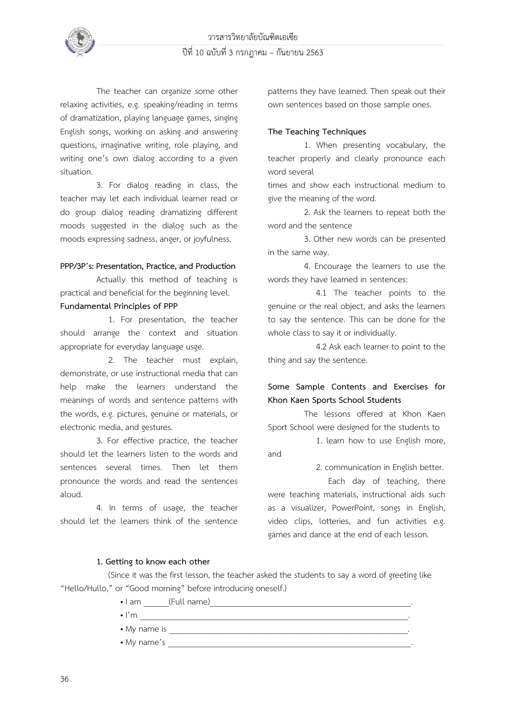

The teacher can organize some other relaxing activities, e.g. speaking/reading in terms of dramatization, playing language games, singing English songs, working on asking and answering questions, imaginative writing, role playing, and writing one's own dialog according to a given situation.

3. For dialog reading in class, the teacher may let each individual learner read or do group dialog reading dramatizing different moods suggested in the dialog such as the moods expressing sadness, anger, or joyfulness.

# **PPP/3P's: Presentation, Practice, and Production**

Actually this method of teaching is practical and beneficial for the beginning level.

## **Fundamental Principles of PPP**

1. For presentation, the teacher should arrange the context and situation appropriate for everyday language usge.

2. The teacher must explain, demonstrate, or use instructional media that can help make the learners understand the meanings of words and sentence patterns with the words, e.g. pictures, genuine or materials, or electronic media, and gestures.

3. For effective practice, the teacher should let the learners listen to the words and sentences several times. Then let them pronounce the words and read the sentences aloud.

4. In terms of usage, the teacher should let the learners think of the sentence

patterns they have learned. Then speak out their own sentences based on those sample ones.

# **The Teaching Techniques**

1. When presenting vocabulary, the teacher properly and clearly pronounce each word several

times and show each instructional medium to give the meaning of the word.

2. Ask the learners to repeat both the word and the sentence

3. Other new words can be presented in the same way.

4. Encourage the learners to use the words they have learned in sentences:

 4.1 The teacher points to the genuine or the real object, and asks the learners to say the sentence. This can be done for the whole class to say it or individually.

 4.2 Ask each learner to point to the thing and say the sentence.

# **Some Sample Contents and Exercises for Khon Kaen Sports School Students**

The lessons offered at Khon Kaen Sport School were designed for the students to

1. learn how to use English more, and

2. communication in English better.

Each day of teaching, there were teaching materials, instructional aids such as a visualizer, PowerPoint, songs in English, video clips, lotteries, and fun activities e.g. games and dance at the end of each lesson.

## **1. Getting to know each other**

(Since it was the first lesson, the teacher asked the students to say a word of greeting like "Hello/Hullo," or "Good morning" before introducing oneself.)

- I am \_\_\_\_\_\_(Full name)
- I'm \_\_\_\_\_\_\_\_\_\_\_\_\_\_\_\_\_\_\_\_\_\_\_\_\_\_\_\_\_\_\_\_\_\_\_\_\_\_\_\_\_\_\_\_\_\_\_\_\_\_\_\_\_\_\_\_\_\_\_\_\_\_\_\_.
- My name is \_\_\_\_\_\_\_\_\_\_\_\_\_\_\_\_\_\_\_\_\_\_\_\_\_\_\_\_\_\_\_\_\_\_\_\_\_\_\_\_\_\_\_\_\_\_\_\_\_\_\_\_\_\_\_\_\_.
- My name's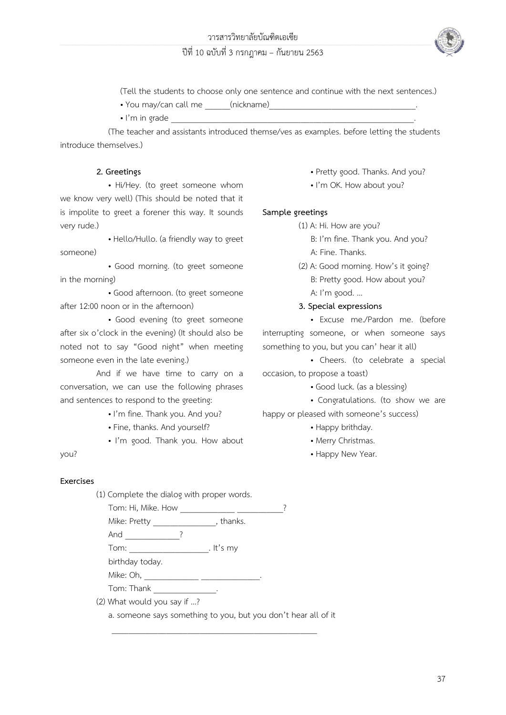# ปีที่ 10 ฉบับที่ 3 กรกฎาคม – กันยายน 2563



(Tell the students to choose only one sentence and continue with the next sentences.)

- You may/can call me \_\_\_\_\_\_(nickname)
- $\bullet$  I'm in grade

(The teacher and assistants introduced themse/ves as examples. before letting the students introduce themselves.)

# **2. Greetings**

• Hi/Hey. (to greet someone whom we know very well) (This should be noted that it is impolite to greet a forener this way. It sounds very rude.)

- Hello/Hullo. (a friendly way to greet someone)
- Good morning. (to greet someone in the morning)

• Good afternoon. (to greet someone after 12:00 noon or in the afternoon)

• Good evening (to greet someone after six o'clock in the evening) (It should also be noted not to say "Good night" when meeting someone even in the late evening.)

And if we have time to carry on a conversation, we can use the following phrases and sentences to respond to the greeting:

- I'm fine. Thank you. And you?
- Fine, thanks. And yourself?
- I'm good. Thank you. How about
- you?

# **Exercises**

(1) Complete the dialog with proper words.

Tom: Hi, Mike. How \_\_\_\_\_\_\_\_\_\_\_\_\_ \_\_\_\_\_\_\_\_\_\_\_? Mike: Pretty \_\_\_\_\_\_\_\_\_\_\_\_\_\_\_, thanks. And \_\_\_\_\_\_\_\_\_\_\_\_\_\_\_\_? Tom: Tom: Tom: birthday today. Mike: Oh, \_\_\_\_\_\_\_\_\_\_\_\_\_ \_\_\_\_\_\_\_\_\_\_\_\_\_\_. Tom: Thank Fig. 2014 (2) What would you say if …?

a. someone says something to you, but you don't hear all of it

 $\frac{1}{2}$  ,  $\frac{1}{2}$  ,  $\frac{1}{2}$  ,  $\frac{1}{2}$  ,  $\frac{1}{2}$  ,  $\frac{1}{2}$  ,  $\frac{1}{2}$  ,  $\frac{1}{2}$  ,  $\frac{1}{2}$  ,  $\frac{1}{2}$  ,  $\frac{1}{2}$  ,  $\frac{1}{2}$  ,  $\frac{1}{2}$  ,  $\frac{1}{2}$  ,  $\frac{1}{2}$  ,  $\frac{1}{2}$  ,  $\frac{1}{2}$  ,  $\frac{1}{2}$  ,  $\frac{1$ 

- Pretty good. Thanks. And you?
- I'm OK. How about you?

# **Sample greetings**

- (1) A: Hi. How are you?
	- B: I'm fine. Thank you. And you? A: Fine. Thanks.
- (2) A: Good morning. How's it going? B: Pretty good. How about you? A: I'm good. …

# **3. Special expressions**

 • Excuse me./Pardon me. (before interrupting someone, or when someone says something to you, but you can' hear it all)

 • Cheers. (to celebrate a special occasion, to propose a toast)

• Good luck. (as a blessing)

 • Congratulations. (to show we are happy or pleased with someone's success)

- Happy brithday.
- Merry Christmas.
- Happy New Year.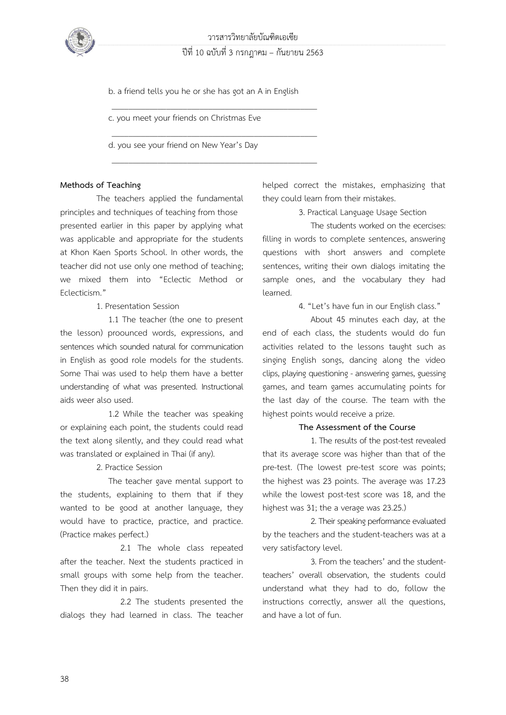

วารสารวิทยาลัยบัณฑิตเอเซีย ปีที่ 10 ฉบับที่ 3 กรกฎาคม – กันยายน 2563

 b. a friend tells you he or she has got an A in English  $\frac{1}{2}$  ,  $\frac{1}{2}$  ,  $\frac{1}{2}$  ,  $\frac{1}{2}$  ,  $\frac{1}{2}$  ,  $\frac{1}{2}$  ,  $\frac{1}{2}$  ,  $\frac{1}{2}$  ,  $\frac{1}{2}$  ,  $\frac{1}{2}$  ,  $\frac{1}{2}$  ,  $\frac{1}{2}$  ,  $\frac{1}{2}$  ,  $\frac{1}{2}$  ,  $\frac{1}{2}$  ,  $\frac{1}{2}$  ,  $\frac{1}{2}$  ,  $\frac{1}{2}$  ,  $\frac{1$ 

 $\frac{1}{2}$  ,  $\frac{1}{2}$  ,  $\frac{1}{2}$  ,  $\frac{1}{2}$  ,  $\frac{1}{2}$  ,  $\frac{1}{2}$  ,  $\frac{1}{2}$  ,  $\frac{1}{2}$  ,  $\frac{1}{2}$  ,  $\frac{1}{2}$  ,  $\frac{1}{2}$  ,  $\frac{1}{2}$  ,  $\frac{1}{2}$  ,  $\frac{1}{2}$  ,  $\frac{1}{2}$  ,  $\frac{1}{2}$  ,  $\frac{1}{2}$  ,  $\frac{1}{2}$  ,  $\frac{1$ 

 $\frac{1}{2}$  ,  $\frac{1}{2}$  ,  $\frac{1}{2}$  ,  $\frac{1}{2}$  ,  $\frac{1}{2}$  ,  $\frac{1}{2}$  ,  $\frac{1}{2}$  ,  $\frac{1}{2}$  ,  $\frac{1}{2}$  ,  $\frac{1}{2}$  ,  $\frac{1}{2}$  ,  $\frac{1}{2}$  ,  $\frac{1}{2}$  ,  $\frac{1}{2}$  ,  $\frac{1}{2}$  ,  $\frac{1}{2}$  ,  $\frac{1}{2}$  ,  $\frac{1}{2}$  ,  $\frac{1$ 

c. you meet your friends on Christmas Eve

d. you see your friend on New Year's Day

## **Methods of Teaching**

The teachers applied the fundamental principles and techniques of teaching from those presented earlier in this paper by applying what was applicable and appropriate for the students at Khon Kaen Sports School. In other words, the teacher did not use only one method of teaching; we mixed them into "Eclectic Method or Eclecticism."

1. Presentation Session

1.1 The teacher (the one to present the lesson) proounced words, expressions, and sentences which sounded natural for communication in English as good role models for the students. Some Thai was used to help them have a better understanding of what was presented. Instructional aids weer also used.

1.2 While the teacher was speaking or explaining each point, the students could read the text along silently, and they could read what was translated or explained in Thai (if any).

2. Practice Session

The teacher gave mental support to the students, explaining to them that if they wanted to be good at another language, they would have to practice, practice, and practice. (Practice makes perfect.)

2.1 The whole class repeated after the teacher. Next the students practiced in small groups with some help from the teacher. Then they did it in pairs.

2.2 The students presented the dialogs they had learned in class. The teacher helped correct the mistakes, emphasizing that they could learn from their mistakes.

3. Practical Language Usage Section

The students worked on the ecercises: filling in words to complete sentences, answering questions with short answers and complete sentences, writing their own dialogs imitating the sample ones, and the vocabulary they had learned.

4. "Let's have fun in our English class."

About 45 minutes each day, at the end of each class, the students would do fun activities related to the lessons taught such as singing English songs, dancing along the video clips, playing questioning - answering games, guessing games, and team games accumulating points for the last day of the course. The team with the highest points would receive a prize.

#### **The Assessment of the Course**

1. The results of the post-test revealed that its average score was higher than that of the pre-test. (The lowest pre-test score was points; the highest was 23 points. The average was 17.23 while the lowest post-test score was 18, and the highest was 31; the a verage was 23.25.)

2.Their speaking performance evaluated by the teachers and the student-teachers was at a very satisfactory level.

3. From the teachers' and the studentteachers' overall observation, the students could understand what they had to do, follow the instructions correctly, answer all the questions, and have a lot of fun.